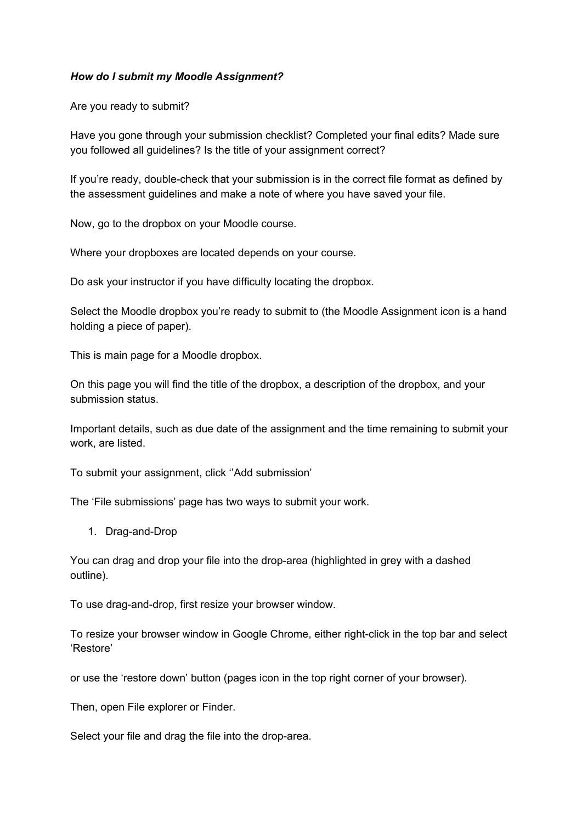## *How do I submit my Moodle Assignment?*

Are you ready to submit?

Have you gone through your submission checklist? Completed your final edits? Made sure you followed all guidelines? Is the title of your assignment correct?

If you're ready, double-check that your submission is in the correct file format as defined by the assessment guidelines and make a note of where you have saved your file.

Now, go to the dropbox on your Moodle course.

Where your dropboxes are located depends on your course.

Do ask your instructor if you have difficulty locating the dropbox.

Select the Moodle dropbox you're ready to submit to (the Moodle Assignment icon is a hand holding a piece of paper).

This is main page for a Moodle dropbox.

On this page you will find the title of the dropbox, a description of the dropbox, and your submission status.

Important details, such as due date of the assignment and the time remaining to submit your work, are listed.

To submit your assignment, click ''Add submission'

The 'File submissions' page has two ways to submit your work.

1. Drag-and-Drop

You can drag and drop your file into the drop-area (highlighted in grey with a dashed outline).

To use drag-and-drop, first resize your browser window.

To resize your browser window in Google Chrome, either right-click in the top bar and select 'Restore'

or use the 'restore down' button (pages icon in the top right corner of your browser).

Then, open File explorer or Finder.

Select your file and drag the file into the drop-area.